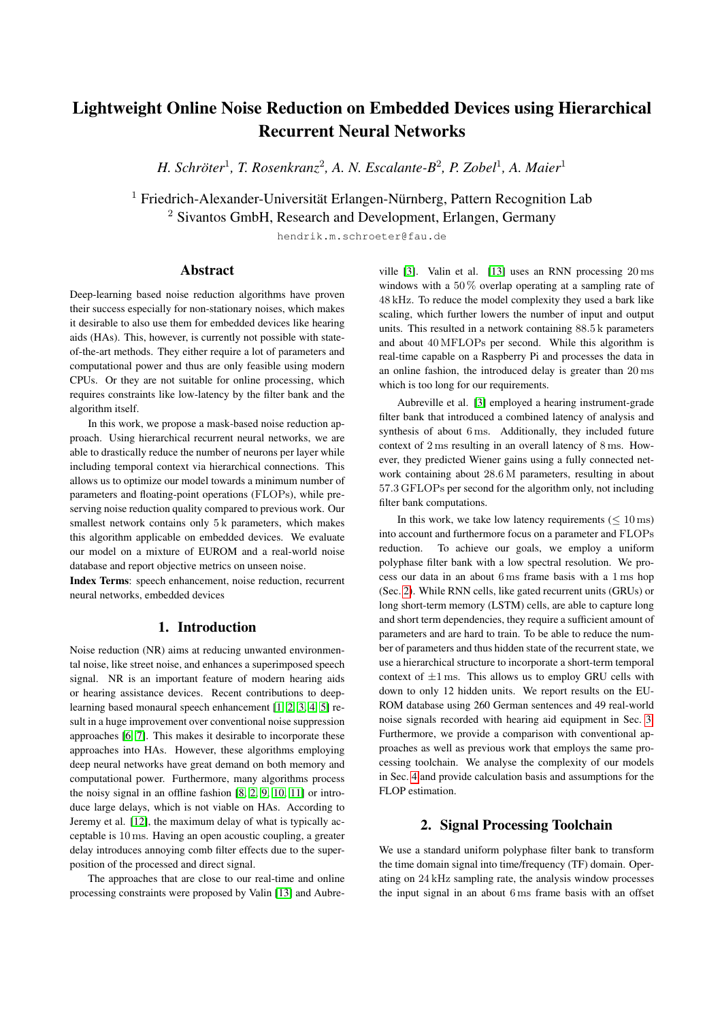# Lightweight Online Noise Reduction on Embedded Devices using Hierarchical Recurrent Neural Networks

*H. Schröter<sup>1</sup>, T. Rosenkranz<sup>2</sup>, A. N. Escalante-B<sup>2</sup>, P. Zobel<sup>1</sup>, A. Maier<sup>1</sup>* 

 $1$  Friedrich-Alexander-Universität Erlangen-Nürnberg, Pattern Recognition Lab <sup>2</sup> Sivantos GmbH, Research and Development, Erlangen, Germany

hendrik.m.schroeter@fau.de

# Abstract

Deep-learning based noise reduction algorithms have proven their success especially for non-stationary noises, which makes it desirable to also use them for embedded devices like hearing aids (HAs). This, however, is currently not possible with stateof-the-art methods. They either require a lot of parameters and computational power and thus are only feasible using modern CPUs. Or they are not suitable for online processing, which requires constraints like low-latency by the filter bank and the algorithm itself.

In this work, we propose a mask-based noise reduction approach. Using hierarchical recurrent neural networks, we are able to drastically reduce the number of neurons per layer while including temporal context via hierarchical connections. This allows us to optimize our model towards a minimum number of parameters and floating-point operations (FLOPs), while preserving noise reduction quality compared to previous work. Our smallest network contains only 5 k parameters, which makes this algorithm applicable on embedded devices. We evaluate our model on a mixture of EUROM and a real-world noise database and report objective metrics on unseen noise.

Index Terms: speech enhancement, noise reduction, recurrent neural networks, embedded devices

# 1. Introduction

Noise reduction (NR) aims at reducing unwanted environmental noise, like street noise, and enhances a superimposed speech signal. NR is an important feature of modern hearing aids or hearing assistance devices. Recent contributions to deeplearning based monaural speech enhancement [\[1,](#page-4-0) [2,](#page-4-1) [3,](#page-4-2) [4,](#page-4-3) [5\]](#page-4-4) result in a huge improvement over conventional noise suppression approaches [\[6,](#page-4-5) [7\]](#page-4-6). This makes it desirable to incorporate these approaches into HAs. However, these algorithms employing deep neural networks have great demand on both memory and computational power. Furthermore, many algorithms process the noisy signal in an offline fashion [\[8,](#page-4-7) [2,](#page-4-1) [9,](#page-4-8) [10,](#page-4-9) [11\]](#page-4-10) or introduce large delays, which is not viable on HAs. According to Jeremy et al. [\[12\]](#page-4-11), the maximum delay of what is typically acceptable is 10 ms. Having an open acoustic coupling, a greater delay introduces annoying comb filter effects due to the superposition of the processed and direct signal.

The approaches that are close to our real-time and online processing constraints were proposed by Valin [\[13\]](#page-4-12) and Aubre-

ville [\[3\]](#page-4-2). Valin et al. [\[13\]](#page-4-12) uses an RNN processing 20 ms windows with a 50 % overlap operating at a sampling rate of 48 kHz. To reduce the model complexity they used a bark like scaling, which further lowers the number of input and output units. This resulted in a network containing 88.5 k parameters and about 40 MFLOPs per second. While this algorithm is real-time capable on a Raspberry Pi and processes the data in an online fashion, the introduced delay is greater than 20 ms which is too long for our requirements.

Aubreville et al. [\[3\]](#page-4-2) employed a hearing instrument-grade filter bank that introduced a combined latency of analysis and synthesis of about 6 ms. Additionally, they included future context of 2 ms resulting in an overall latency of 8 ms. However, they predicted Wiener gains using a fully connected network containing about 28.6 M parameters, resulting in about 57.3 GFLOPs per second for the algorithm only, not including filter bank computations.

In this work, we take low latency requirements ( $\leq 10 \,\text{ms}$ ) into account and furthermore focus on a parameter and FLOPs reduction. To achieve our goals, we employ a uniform polyphase filter bank with a low spectral resolution. We process our data in an about 6 ms frame basis with a 1 ms hop (Sec. [2\)](#page-0-0). While RNN cells, like gated recurrent units (GRUs) or long short-term memory (LSTM) cells, are able to capture long and short term dependencies, they require a sufficient amount of parameters and are hard to train. To be able to reduce the number of parameters and thus hidden state of the recurrent state, we use a hierarchical structure to incorporate a short-term temporal context of  $\pm 1$  ms. This allows us to employ GRU cells with down to only 12 hidden units. We report results on the EU-ROM database using 260 German sentences and 49 real-world noise signals recorded with hearing aid equipment in Sec. [3.](#page-2-0) Furthermore, we provide a comparison with conventional approaches as well as previous work that employs the same processing toolchain. We analyse the complexity of our models in Sec. [4](#page-3-0) and provide calculation basis and assumptions for the FLOP estimation.

# 2. Signal Processing Toolchain

<span id="page-0-0"></span>We use a standard uniform polyphase filter bank to transform the time domain signal into time/frequency (TF) domain. Operating on 24 kHz sampling rate, the analysis window processes the input signal in an about 6 ms frame basis with an offset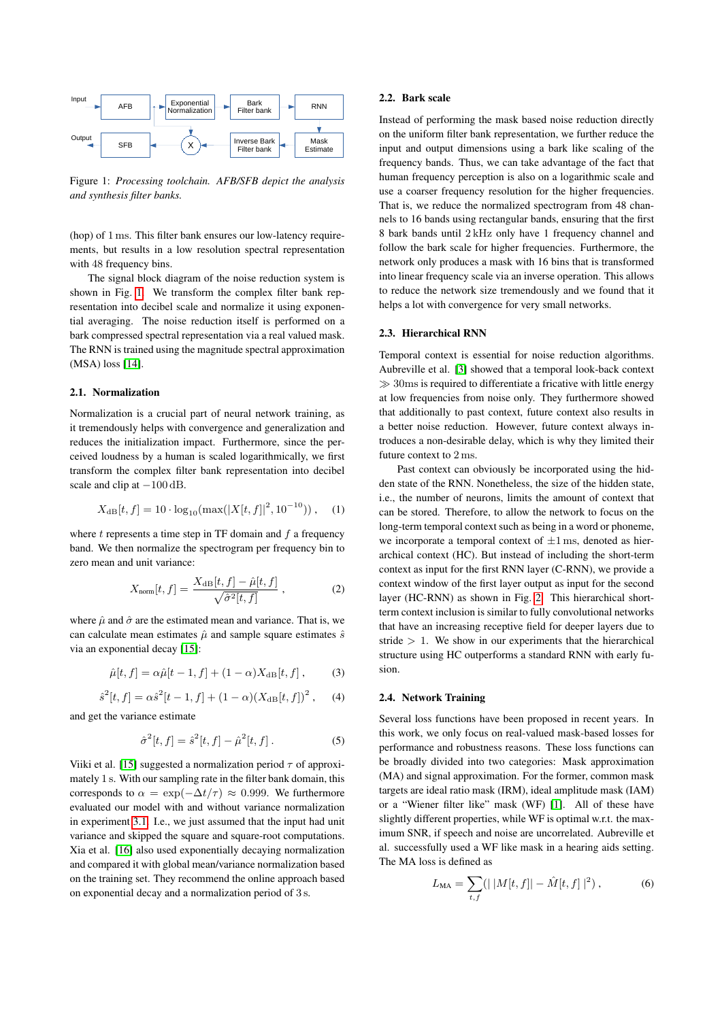<span id="page-1-0"></span>

Figure 1: *Processing toolchain. AFB/SFB depict the analysis and synthesis filter banks.*

(hop) of 1 ms. This filter bank ensures our low-latency requirements, but results in a low resolution spectral representation with 48 frequency bins.

The signal block diagram of the noise reduction system is shown in Fig. [1.](#page-1-0) We transform the complex filter bank representation into decibel scale and normalize it using exponential averaging. The noise reduction itself is performed on a bark compressed spectral representation via a real valued mask. The RNN is trained using the magnitude spectral approximation (MSA) loss [\[14\]](#page-4-13).

#### 2.1. Normalization

Normalization is a crucial part of neural network training, as it tremendously helps with convergence and generalization and reduces the initialization impact. Furthermore, since the perceived loudness by a human is scaled logarithmically, we first transform the complex filter bank representation into decibel scale and clip at  $-100$  dB.

$$
X_{\text{dB}}[t, f] = 10 \cdot \log_{10}(\max(|X[t, f]|^2, 10^{-10})) , \quad (1)
$$

where  $t$  represents a time step in TF domain and  $f$  a frequency band. We then normalize the spectrogram per frequency bin to zero mean and unit variance:

$$
X_{\text{norm}}[t, f] = \frac{X_{\text{dB}}[t, f] - \hat{\mu}[t, f]}{\sqrt{\hat{\sigma}^2[t, f]}}, \qquad (2)
$$

where  $\hat{\mu}$  and  $\hat{\sigma}$  are the estimated mean and variance. That is, we can calculate mean estimates  $\hat{\mu}$  and sample square estimates  $\hat{s}$ via an exponential decay [\[15\]](#page-4-14):

$$
\hat{\mu}[t, f] = \alpha \hat{\mu}[t - 1, f] + (1 - \alpha) X_{\text{dB}}[t, f], \quad (3)
$$

$$
\hat{s}^{2}[t, f] = \alpha \hat{s}^{2}[t - 1, f] + (1 - \alpha)(X_{\text{dB}}[t, f])^{2}, \quad (4)
$$

and get the variance estimate

$$
\hat{\sigma}^2[t, f] = \hat{s}^2[t, f] - \hat{\mu}^2[t, f]. \tag{5}
$$

Viiki et al. [\[15\]](#page-4-14) suggested a normalization period  $\tau$  of approximately 1 s. With our sampling rate in the filter bank domain, this corresponds to  $\alpha = \exp(-\Delta t/\tau) \approx 0.999$ . We furthermore evaluated our model with and without variance normalization in experiment [3.1.](#page-2-1) I.e., we just assumed that the input had unit variance and skipped the square and square-root computations. Xia et al. [\[16\]](#page-4-15) also used exponentially decaying normalization and compared it with global mean/variance normalization based on the training set. They recommend the online approach based on exponential decay and a normalization period of 3 s.

### 2.2. Bark scale

Instead of performing the mask based noise reduction directly on the uniform filter bank representation, we further reduce the input and output dimensions using a bark like scaling of the frequency bands. Thus, we can take advantage of the fact that human frequency perception is also on a logarithmic scale and use a coarser frequency resolution for the higher frequencies. That is, we reduce the normalized spectrogram from 48 channels to 16 bands using rectangular bands, ensuring that the first 8 bark bands until 2 kHz only have 1 frequency channel and follow the bark scale for higher frequencies. Furthermore, the network only produces a mask with 16 bins that is transformed into linear frequency scale via an inverse operation. This allows to reduce the network size tremendously and we found that it helps a lot with convergence for very small networks.

#### 2.3. Hierarchical RNN

Temporal context is essential for noise reduction algorithms. Aubreville et al. [\[3\]](#page-4-2) showed that a temporal look-back context  $\gg$  30ms is required to differentiate a fricative with little energy at low frequencies from noise only. They furthermore showed that additionally to past context, future context also results in a better noise reduction. However, future context always introduces a non-desirable delay, which is why they limited their future context to 2 ms.

Past context can obviously be incorporated using the hidden state of the RNN. Nonetheless, the size of the hidden state, i.e., the number of neurons, limits the amount of context that can be stored. Therefore, to allow the network to focus on the long-term temporal context such as being in a word or phoneme, we incorporate a temporal context of  $\pm 1$  ms, denoted as hierarchical context (HC). But instead of including the short-term context as input for the first RNN layer (C-RNN), we provide a context window of the first layer output as input for the second layer (HC-RNN) as shown in Fig. [2.](#page-2-2) This hierarchical shortterm context inclusion is similar to fully convolutional networks that have an increasing receptive field for deeper layers due to stride  $> 1$ . We show in our experiments that the hierarchical structure using HC outperforms a standard RNN with early fusion.

#### 2.4. Network Training

Several loss functions have been proposed in recent years. In this work, we only focus on real-valued mask-based losses for performance and robustness reasons. These loss functions can be broadly divided into two categories: Mask approximation (MA) and signal approximation. For the former, common mask targets are ideal ratio mask (IRM), ideal amplitude mask (IAM) or a "Wiener filter like" mask (WF) [\[1\]](#page-4-0). All of these have slightly different properties, while WF is optimal w.r.t. the maximum SNR, if speech and noise are uncorrelated. Aubreville et al. successfully used a WF like mask in a hearing aids setting. The MA loss is defined as

$$
L_{\text{MA}} = \sum_{t,f} (| |M[t,f]| - \hat{M}[t,f] |^2), \qquad (6)
$$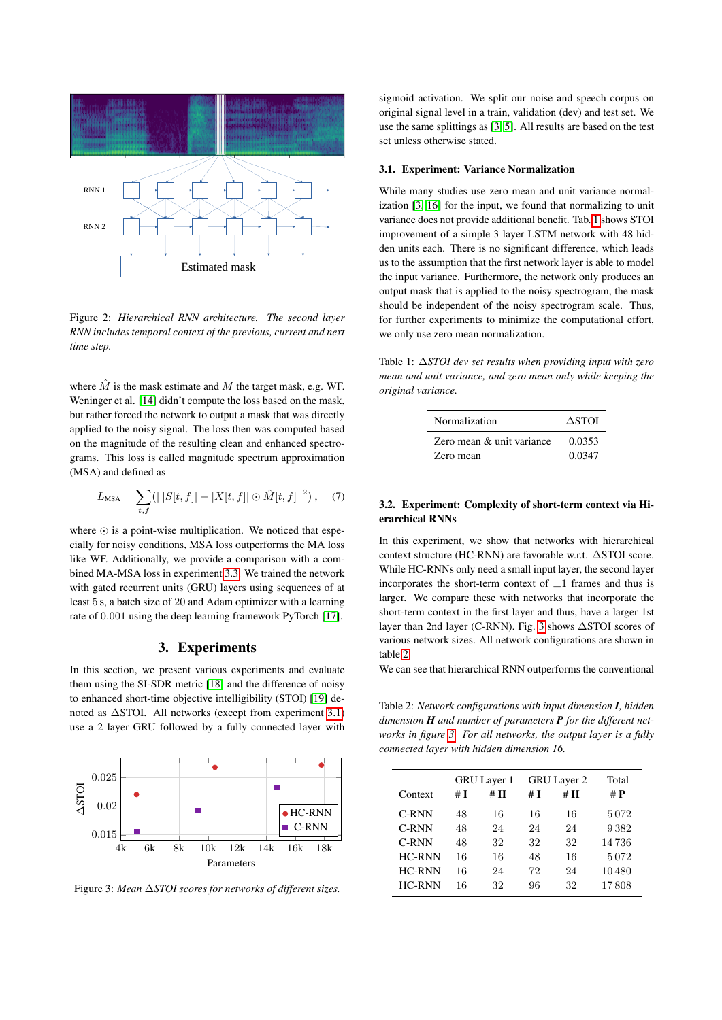<span id="page-2-2"></span>

Figure 2: *Hierarchical RNN architecture. The second layer RNN includes temporal context of the previous, current and next time step.*

where  $\tilde{M}$  is the mask estimate and  $M$  the target mask, e.g. WF. Weninger et al. [\[14\]](#page-4-13) didn't compute the loss based on the mask, but rather forced the network to output a mask that was directly applied to the noisy signal. The loss then was computed based on the magnitude of the resulting clean and enhanced spectrograms. This loss is called magnitude spectrum approximation (MSA) and defined as

$$
L_{\text{MSA}} = \sum_{t,f} (|S[t,f]| - |X[t,f]| \odot \hat{M}[t,f]|^2), \quad (7)
$$

where  $\odot$  is a point-wise multiplication. We noticed that especially for noisy conditions, MSA loss outperforms the MA loss like WF. Additionally, we provide a comparison with a combined MA-MSA loss in experiment [3.3.](#page-3-1) We trained the network with gated recurrent units (GRU) layers using sequences of at least 5 s, a batch size of 20 and Adam optimizer with a learning rate of 0.001 using the deep learning framework PyTorch [\[17\]](#page-4-16).

# 3. Experiments

<span id="page-2-0"></span>In this section, we present various experiments and evaluate them using the SI-SDR metric [\[18\]](#page-4-17) and the difference of noisy to enhanced short-time objective intelligibility (STOI) [\[19\]](#page-4-18) denoted as ∆STOI. All networks (except from experiment [3.1\)](#page-2-1) use a 2 layer GRU followed by a fully connected layer with

<span id="page-2-4"></span>

Figure 3: *Mean* ∆*STOI scores for networks of different sizes.*

sigmoid activation. We split our noise and speech corpus on original signal level in a train, validation (dev) and test set. We use the same splittings as [\[3,](#page-4-2) [5\]](#page-4-4). All results are based on the test set unless otherwise stated.

#### <span id="page-2-1"></span>3.1. Experiment: Variance Normalization

While many studies use zero mean and unit variance normalization [\[3,](#page-4-2) [16\]](#page-4-15) for the input, we found that normalizing to unit variance does not provide additional benefit. Tab. [1](#page-2-3) shows STOI improvement of a simple 3 layer LSTM network with 48 hidden units each. There is no significant difference, which leads us to the assumption that the first network layer is able to model the input variance. Furthermore, the network only produces an output mask that is applied to the noisy spectrogram, the mask should be independent of the noisy spectrogram scale. Thus, for further experiments to minimize the computational effort, we only use zero mean normalization.

<span id="page-2-3"></span>Table 1: ∆*STOI dev set results when providing input with zero mean and unit variance, and zero mean only while keeping the original variance.*

| Normalization             | ASTOI  |  |  |
|---------------------------|--------|--|--|
| Zero mean & unit variance | 0.0353 |  |  |
| Zero mean                 | 0.0347 |  |  |

## 3.2. Experiment: Complexity of short-term context via Hierarchical RNNs

In this experiment, we show that networks with hierarchical context structure (HC-RNN) are favorable w.r.t. ∆STOI score. While HC-RNNs only need a small input layer, the second layer incorporates the short-term context of  $\pm 1$  frames and thus is larger. We compare these with networks that incorporate the short-term context in the first layer and thus, have a larger 1st layer than 2nd layer (C-RNN). Fig. [3](#page-2-4) shows ∆STOI scores of various network sizes. All network configurations are shown in table [2.](#page-2-5)

We can see that hierarchical RNN outperforms the conventional

<span id="page-2-5"></span>Table 2: *Network configurations with input dimension I, hidden dimension H and number of parameters P for the different networks in figure [3.](#page-2-4) For all networks, the output layer is a fully connected layer with hidden dimension 16.*

| Total |  |
|-------|--|
| # $P$ |  |
| 5072  |  |
| 9382  |  |
| 14736 |  |
| 5072  |  |
| 10480 |  |
| 17808 |  |
|       |  |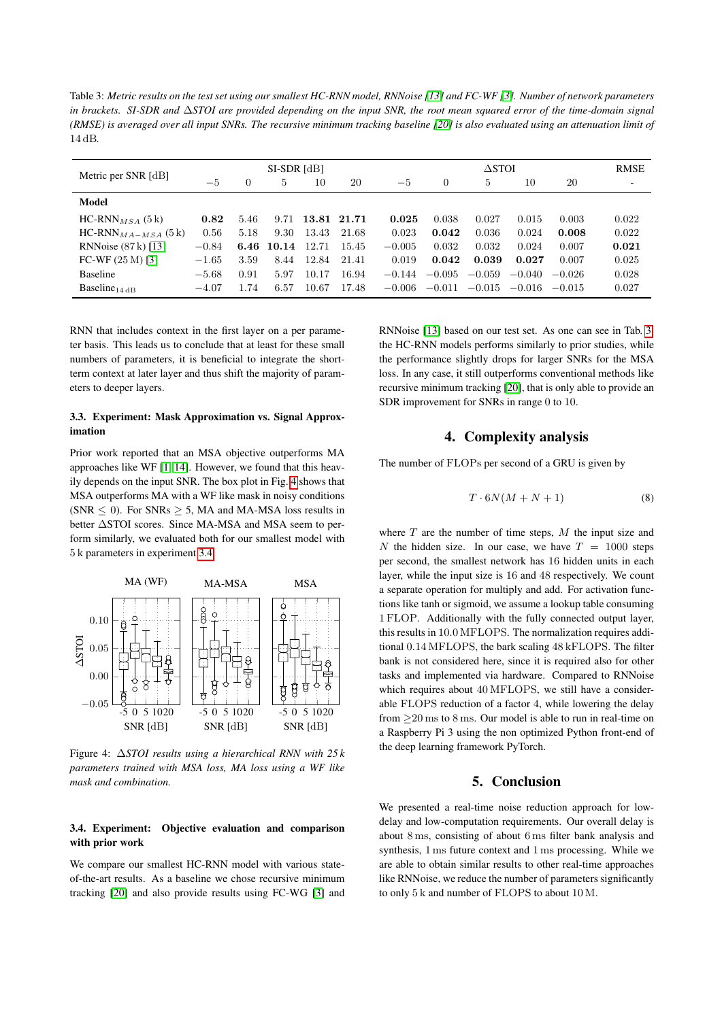<span id="page-3-4"></span>Table 3: *Metric results on the test set using our smallest HC-RNN model, RNNoise [\[13\]](#page-4-12) and FC-WF [\[3\]](#page-4-2). Number of network parameters in brackets. SI-SDR and* ∆*STOI are provided depending on the input SNR, the root mean squared error of the time-domain signal (RMSE) is averaged over all input SNRs. The recursive minimum tracking baseline [\[20\]](#page-4-19) is also evaluated using an attenuation limit of* 14 dB*.*

| Metric per SNR [dB]       | SI-SDR [dB] |      |       |       | $\Delta \rm STOI$ |          |                |          |          | <b>RMSE</b> |       |
|---------------------------|-------------|------|-------|-------|-------------------|----------|----------------|----------|----------|-------------|-------|
|                           | $-5$        | 0    | 5     | 10    | 20                | $-5$     | $\overline{0}$ | 5        | 10       | 20          | ٠     |
| Model                     |             |      |       |       |                   |          |                |          |          |             |       |
| $HC-RNN_{MSA}$ (5 k)      | 0.82        | 5.46 | 9.71  |       | 13.81 21.71       | 0.025    | 0.038          | 0.027    | 0.015    | 0.003       | 0.022 |
| $HC-RNN_{MA-MSA}$ (5 k)   | 0.56        | 5.18 | 9.30  | 13.43 | 21.68             | 0.023    | 0.042          | 0.036    | 0.024    | 0.008       | 0.022 |
| RNNoise (87 k) [13]       | $-0.84$     | 6.46 | 10.14 | 12.71 | 15.45             | $-0.005$ | 0.032          | 0.032    | 0.024    | 0.007       | 0.021 |
| FC-WF $(25 M)$ [3]        | $-1.65$     | 3.59 | 8.44  | 12.84 | 21.41             | 0.019    | 0.042          | 0.039    | 0.027    | 0.007       | 0.025 |
| <b>Baseline</b>           | $-5.68$     | 0.91 | 5.97  | 10.17 | 16.94             | $-0.144$ | $-0.095$       | $-0.059$ | $-0.040$ | $-0.026$    | 0.028 |
| Baseline <sub>14 dB</sub> | $-4.07$     | 1.74 | 6.57  | 10.67 | 17.48             | $-0.006$ | $-0.011$       | $-0.015$ | $-0.016$ | $-0.015$    | 0.027 |

RNN that includes context in the first layer on a per parameter basis. This leads us to conclude that at least for these small numbers of parameters, it is beneficial to integrate the shortterm context at later layer and thus shift the majority of parameters to deeper layers.

# <span id="page-3-1"></span>3.3. Experiment: Mask Approximation vs. Signal Approximation

Prior work reported that an MSA objective outperforms MA approaches like WF [\[1,](#page-4-0) [14\]](#page-4-13). However, we found that this heavily depends on the input SNR. The box plot in Fig. [4](#page-3-2) shows that MSA outperforms MA with a WF like mask in noisy conditions (SNR  $\leq$  0). For SNRs  $\geq$  5, MA and MA-MSA loss results in better ∆STOI scores. Since MA-MSA and MSA seem to perform similarly, we evaluated both for our smallest model with 5 k parameters in experiment [3.4.](#page-3-3)

<span id="page-3-2"></span>

Figure 4: ∆*STOI results using a hierarchical RNN with 25 k parameters trained with MSA loss, MA loss using a WF like mask and combination.*

## <span id="page-3-3"></span>3.4. Experiment: Objective evaluation and comparison with prior work

We compare our smallest HC-RNN model with various stateof-the-art results. As a baseline we chose recursive minimum tracking [\[20\]](#page-4-19) and also provide results using FC-WG [\[3\]](#page-4-2) and RNNoise [\[13\]](#page-4-12) based on our test set. As one can see in Tab. [3,](#page-3-4) the HC-RNN models performs similarly to prior studies, while the performance slightly drops for larger SNRs for the MSA loss. In any case, it still outperforms conventional methods like recursive minimum tracking [\[20\]](#page-4-19), that is only able to provide an SDR improvement for SNRs in range 0 to 10.

# 4. Complexity analysis

<span id="page-3-0"></span>The number of FLOPs per second of a GRU is given by

$$
T \cdot 6N(M+N+1) \tag{8}
$$

where  $T$  are the number of time steps,  $M$  the input size and N the hidden size. In our case, we have  $T = 1000$  steps per second, the smallest network has 16 hidden units in each layer, while the input size is 16 and 48 respectively. We count a separate operation for multiply and add. For activation functions like tanh or sigmoid, we assume a lookup table consuming 1 FLOP. Additionally with the fully connected output layer, this results in 10.0 MFLOPS. The normalization requires additional 0.14 MFLOPS, the bark scaling 48 kFLOPS. The filter bank is not considered here, since it is required also for other tasks and implemented via hardware. Compared to RNNoise which requires about 40 MFLOPS, we still have a considerable FLOPS reduction of a factor 4, while lowering the delay from  $\geq$  20 ms to 8 ms. Our model is able to run in real-time on a Raspberry Pi 3 using the non optimized Python front-end of the deep learning framework PyTorch.

# 5. Conclusion

We presented a real-time noise reduction approach for lowdelay and low-computation requirements. Our overall delay is about 8 ms, consisting of about 6 ms filter bank analysis and synthesis, 1 ms future context and 1 ms processing. While we are able to obtain similar results to other real-time approaches like RNNoise, we reduce the number of parameters significantly to only 5 k and number of FLOPS to about 10 M.